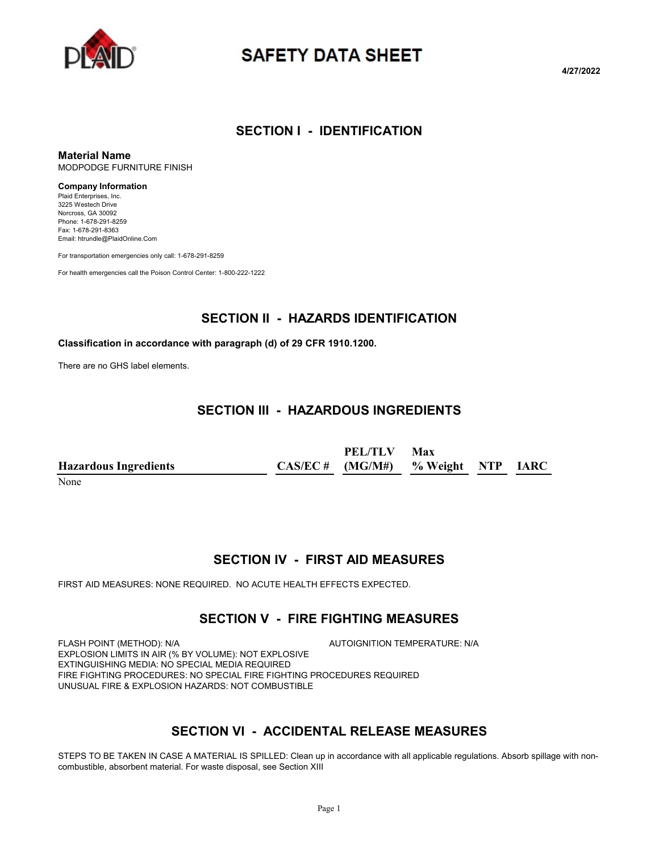

# **SAFETY DATA SHEET**

**4/27/2022**

#### **SECTION I - IDENTIFICATION**

**Material Name** MODPODGE FURNITURE FINISH

#### **Company Information**

Plaid Enterprises, Inc. 3225 Westech Drive Norcross, GA 30092 Phone: 1-678-291-8259 Fax: 1-678-291-8363 Email: htrundle@PlaidOnline.Com

For transportation emergencies only call: 1-678-291-8259

For health emergencies call the Poison Control Center: 1-800-222-1222

#### **SECTION II - HAZARDS IDENTIFICATION**

#### **Classification in accordance with paragraph (d) of 29 CFR 1910.1200.**

There are no GHS label elements.

#### **SECTION III - HAZARDOUS INGREDIENTS**

|                              | PEL/TLV                              | Max |  |
|------------------------------|--------------------------------------|-----|--|
| <b>Hazardous Ingredients</b> | $CAS/EC # (MG/M#)$ % Weight NTP IARC |     |  |

None

# **SECTION IV - FIRST AID MEASURES**

FIRST AID MEASURES: NONE REQUIRED. NO ACUTE HEALTH EFFECTS EXPECTED.

# **SECTION V - FIRE FIGHTING MEASURES**

FLASH POINT (METHOD): N/A AUTOIGNITION TEMPERATURE: N/A EXPLOSION LIMITS IN AIR (% BY VOLUME): NOT EXPLOSIVE EXTINGUISHING MEDIA: NO SPECIAL MEDIA REQUIRED FIRE FIGHTING PROCEDURES: NO SPECIAL FIRE FIGHTING PROCEDURES REQUIRED UNUSUAL FIRE & EXPLOSION HAZARDS: NOT COMBUSTIBLE

# **SECTION VI - ACCIDENTAL RELEASE MEASURES**

STEPS TO BE TAKEN IN CASE A MATERIAL IS SPILLED: Clean up in accordance with all applicable regulations. Absorb spillage with noncombustible, absorbent material. For waste disposal, see Section XIII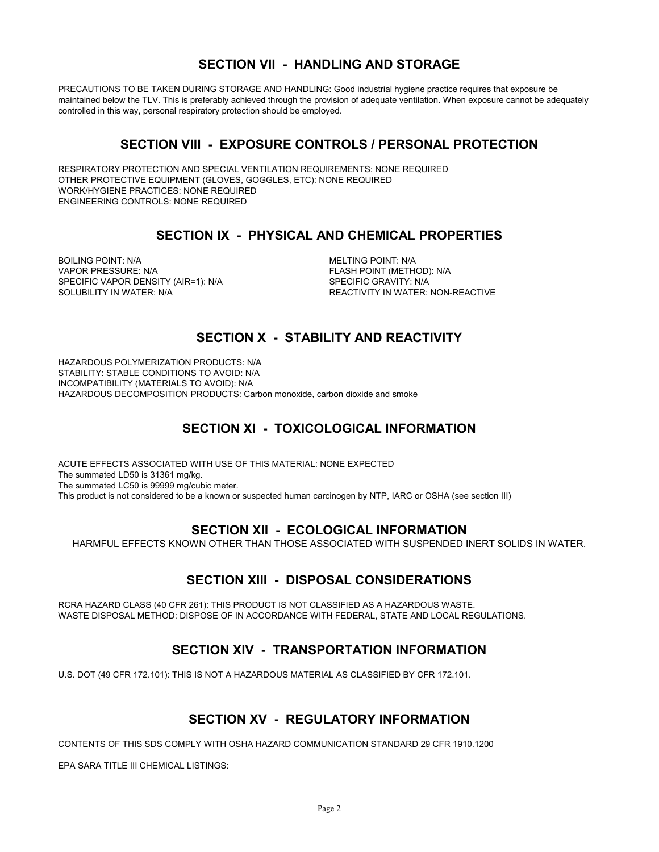#### **SECTION VII - HANDLING AND STORAGE**

PRECAUTIONS TO BE TAKEN DURING STORAGE AND HANDLING: Good industrial hygiene practice requires that exposure be maintained below the TLV. This is preferably achieved through the provision of adequate ventilation. When exposure cannot be adequately controlled in this way, personal respiratory protection should be employed.

#### **SECTION VIII - EXPOSURE CONTROLS / PERSONAL PROTECTION**

RESPIRATORY PROTECTION AND SPECIAL VENTILATION REQUIREMENTS: NONE REQUIRED OTHER PROTECTIVE EQUIPMENT (GLOVES, GOGGLES, ETC): NONE REQUIRED WORK/HYGIENE PRACTICES: NONE REQUIRED ENGINEERING CONTROLS: NONE REQUIRED

### **SECTION IX - PHYSICAL AND CHEMICAL PROPERTIES**

BOILING POINT: N/A **MELTING POINT: N/A** VAPOR PRESSURE: N/A FLASH POINT (METHOD): N/A SPECIFIC VAPOR DENSITY (AIR=1): N/A SPECIFIC GRAVITY: N/A SOLUBILITY IN WATER: N/A **REACTIVITY IN WATER: NON-REACTIVE** 

### **SECTION X - STABILITY AND REACTIVITY**

HAZARDOUS POLYMERIZATION PRODUCTS: N/A STABILITY: STABLE CONDITIONS TO AVOID: N/A INCOMPATIBILITY (MATERIALS TO AVOID): N/A HAZARDOUS DECOMPOSITION PRODUCTS: Carbon monoxide, carbon dioxide and smoke

# **SECTION XI - TOXICOLOGICAL INFORMATION**

ACUTE EFFECTS ASSOCIATED WITH USE OF THIS MATERIAL: NONE EXPECTED The summated LD50 is 31361 mg/kg. The summated LC50 is 99999 mg/cubic meter. This product is not considered to be a known or suspected human carcinogen by NTP, IARC or OSHA (see section III)

#### **SECTION XII - ECOLOGICAL INFORMATION**

HARMFUL EFFECTS KNOWN OTHER THAN THOSE ASSOCIATED WITH SUSPENDED INERT SOLIDS IN WATER.

#### **SECTION XIII - DISPOSAL CONSIDERATIONS**

RCRA HAZARD CLASS (40 CFR 261): THIS PRODUCT IS NOT CLASSIFIED AS A HAZARDOUS WASTE. WASTE DISPOSAL METHOD: DISPOSE OF IN ACCORDANCE WITH FEDERAL, STATE AND LOCAL REGULATIONS.

# **SECTION XIV - TRANSPORTATION INFORMATION**

U.S. DOT (49 CFR 172.101): THIS IS NOT A HAZARDOUS MATERIAL AS CLASSIFIED BY CFR 172.101.

#### **SECTION XV - REGULATORY INFORMATION**

CONTENTS OF THIS SDS COMPLY WITH OSHA HAZARD COMMUNICATION STANDARD 29 CFR 1910.1200

EPA SARA TITLE III CHEMICAL LISTINGS: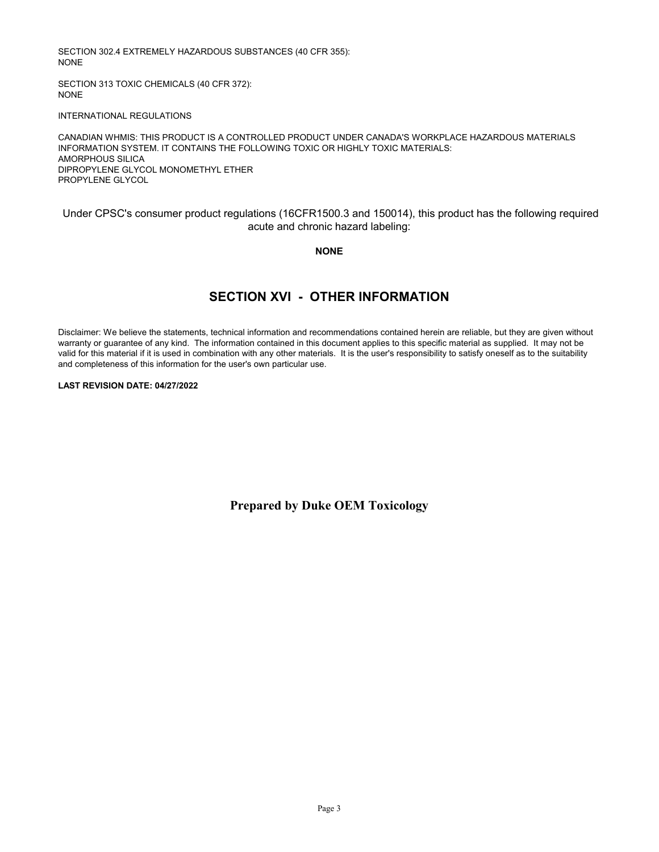SECTION 302.4 EXTREMELY HAZARDOUS SUBSTANCES (40 CFR 355): NONE

SECTION 313 TOXIC CHEMICALS (40 CFR 372): NONE

INTERNATIONAL REGULATIONS

CANADIAN WHMIS: THIS PRODUCT IS A CONTROLLED PRODUCT UNDER CANADA'S WORKPLACE HAZARDOUS MATERIALS INFORMATION SYSTEM. IT CONTAINS THE FOLLOWING TOXIC OR HIGHLY TOXIC MATERIALS: AMORPHOUS SILICA DIPROPYLENE GLYCOL MONOMETHYL ETHER PROPYLENE GLYCOL

Under CPSC's consumer product regulations (16CFR1500.3 and 150014), this product has the following required acute and chronic hazard labeling:

**NONE**

### **SECTION XVI - OTHER INFORMATION**

Disclaimer: We believe the statements, technical information and recommendations contained herein are reliable, but they are given without warranty or guarantee of any kind. The information contained in this document applies to this specific material as supplied. It may not be valid for this material if it is used in combination with any other materials. It is the user's responsibility to satisfy oneself as to the suitability and completeness of this information for the user's own particular use.

#### **LAST REVISION DATE: 04/27/2022**

**Prepared by Duke OEM Toxicology**